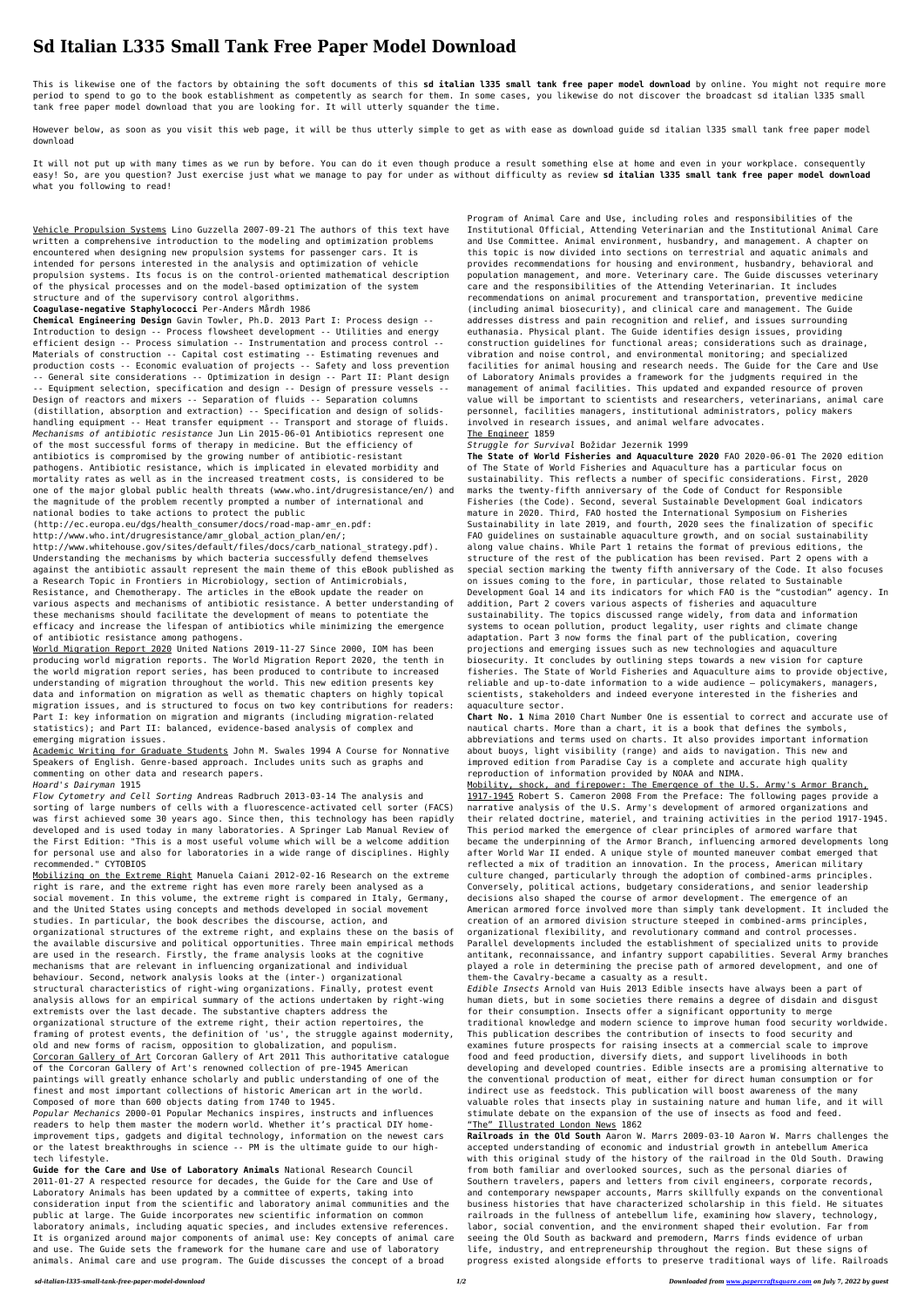# **Sd Italian L335 Small Tank Free Paper Model Download**

This is likewise one of the factors by obtaining the soft documents of this **sd italian l335 small tank free paper model download** by online. You might not require more period to spend to go to the book establishment as competently as search for them. In some cases, you likewise do not discover the broadcast sd italian l335 small tank free paper model download that you are looking for. It will utterly squander the time.

However below, as soon as you visit this web page, it will be thus utterly simple to get as with ease as download guide sd italian l335 small tank free paper model download

It will not put up with many times as we run by before. You can do it even though produce a result something else at home and even in your workplace. consequently easy! So, are you question? Just exercise just what we manage to pay for under as without difficulty as review **sd italian l335 small tank free paper model download** what you following to read!

Vehicle Propulsion Systems Lino Guzzella 2007-09-21 The authors of this text have written a comprehensive introduction to the modeling and optimization problems encountered when designing new propulsion systems for passenger cars. It is intended for persons interested in the analysis and optimization of vehicle propulsion systems. Its focus is on the control-oriented mathematical description of the physical processes and on the model-based optimization of the system structure and of the supervisory control algorithms.

(http://ec.europa.eu/dgs/health\_consumer/docs/road-map-amr\_en.pdf: http://www.who.int/drugresistance/amr\_global\_action\_plan/en/;

#### **Coagulase-negative Staphylococci** Per-Anders Mårdh 1986

**Chemical Engineering Design** Gavin Towler, Ph.D. 2013 Part I: Process design -- Introduction to design -- Process flowsheet development -- Utilities and energy efficient design -- Process simulation -- Instrumentation and process control -- Materials of construction -- Capital cost estimating -- Estimating revenues and production costs -- Economic evaluation of projects -- Safety and loss prevention -- General site considerations -- Optimization in design -- Part II: Plant design -- Equipment selection, specification and design -- Design of pressure vessels -- Design of reactors and mixers -- Separation of fluids -- Separation columns (distillation, absorption and extraction) -- Specification and design of solidshandling equipment -- Heat transfer equipment -- Transport and storage of fluids. *Mechanisms of antibiotic resistance* Jun Lin 2015-06-01 Antibiotics represent one of the most successful forms of therapy in medicine. But the efficiency of antibiotics is compromised by the growing number of antibiotic-resistant pathogens. Antibiotic resistance, which is implicated in elevated morbidity and mortality rates as well as in the increased treatment costs, is considered to be one of the major global public health threats (www.who.int/drugresistance/en/) and the magnitude of the problem recently prompted a number of international and national bodies to take actions to protect the public

http://www.whitehouse.gov/sites/default/files/docs/carb\_national\_strategy.pdf). Understanding the mechanisms by which bacteria successfully defend themselves against the antibiotic assault represent the main theme of this eBook published as a Research Topic in Frontiers in Microbiology, section of Antimicrobials, Resistance, and Chemotherapy. The articles in the eBook update the reader on various aspects and mechanisms of antibiotic resistance. A better understanding of these mechanisms should facilitate the development of means to potentiate the efficacy and increase the lifespan of antibiotics while minimizing the emergence of antibiotic resistance among pathogens.

World Migration Report 2020 United Nations 2019-11-27 Since 2000, IOM has been producing world migration reports. The World Migration Report 2020, the tenth in the world migration report series, has been produced to contribute to increased understanding of migration throughout the world. This new edition presents key data and information on migration as well as thematic chapters on highly topical migration issues, and is structured to focus on two key contributions for readers: Part I: key information on migration and migrants (including migration-related statistics); and Part II: balanced, evidence-based analysis of complex and emerging migration issues.

Academic Writing for Graduate Students John M. Swales 1994 A Course for Nonnative Speakers of English. Genre-based approach. Includes units such as graphs and commenting on other data and research papers.

## *Hoard's Dairyman* 1915

*Flow Cytometry and Cell Sorting* Andreas Radbruch 2013-03-14 The analysis and sorting of large numbers of cells with a fluorescence-activated cell sorter (FACS) was first achieved some 30 years ago. Since then, this technology has been rapidly developed and is used today in many laboratories. A Springer Lab Manual Review of the First Edition: "This is a most useful volume which will be a welcome addition for personal use and also for laboratories in a wide range of disciplines. Highly recommended." CYTOBIOS

Mobilizing on the Extreme Right Manuela Caiani 2012-02-16 Research on the extreme right is rare, and the extreme right has even more rarely been analysed as a social movement. In this volume, the extreme right is compared in Italy, Germany, and the United States using concepts and methods developed in social movement studies. In particular, the book describes the discourse, action, and organizational structures of the extreme right, and explains these on the basis of the available discursive and political opportunities. Three main empirical methods are used in the research. Firstly, the frame analysis looks at the cognitive mechanisms that are relevant in influencing organizational and individual behaviour. Second, network analysis looks at the (inter-) organizational structural characteristics of right-wing organizations. Finally, protest event analysis allows for an empirical summary of the actions undertaken by right-wing extremists over the last decade. The substantive chapters address the organizational structure of the extreme right, their action repertoires, the framing of protest events, the definition of 'us', the struggle against modernity, old and new forms of racism, opposition to globalization, and populism. Corcoran Gallery of Art Corcoran Gallery of Art 2011 This authoritative catalogue of the Corcoran Gallery of Art's renowned collection of pre-1945 American paintings will greatly enhance scholarly and public understanding of one of the finest and most important collections of historic American art in the world. Composed of more than 600 objects dating from 1740 to 1945.

*Popular Mechanics* 2000-01 Popular Mechanics inspires, instructs and influences readers to help them master the modern world. Whether it's practical DIY homeimprovement tips, gadgets and digital technology, information on the newest cars or the latest breakthroughs in science -- PM is the ultimate guide to our hightech lifestyle.

**Guide for the Care and Use of Laboratory Animals** National Research Council 2011-01-27 A respected resource for decades, the Guide for the Care and Use of Laboratory Animals has been updated by a committee of experts, taking into consideration input from the scientific and laboratory animal communities and the public at large. The Guide incorporates new scientific information on common laboratory animals, including aquatic species, and includes extensive references. It is organized around major components of animal use: Key concepts of animal care and use. The Guide sets the framework for the humane care and use of laboratory animals. Animal care and use program. The Guide discusses the concept of a broad

Program of Animal Care and Use, including roles and responsibilities of the Institutional Official, Attending Veterinarian and the Institutional Animal Care and Use Committee. Animal environment, husbandry, and management. A chapter on this topic is now divided into sections on terrestrial and aquatic animals and provides recommendations for housing and environment, husbandry, behavioral and population management, and more. Veterinary care. The Guide discusses veterinary care and the responsibilities of the Attending Veterinarian. It includes recommendations on animal procurement and transportation, preventive medicine (including animal biosecurity), and clinical care and management. The Guide addresses distress and pain recognition and relief, and issues surrounding euthanasia. Physical plant. The Guide identifies design issues, providing construction guidelines for functional areas; considerations such as drainage, vibration and noise control, and environmental monitoring; and specialized facilities for animal housing and research needs. The Guide for the Care and Use of Laboratory Animals provides a framework for the judgments required in the management of animal facilities. This updated and expanded resource of proven value will be important to scientists and researchers, veterinarians, animal care personnel, facilities managers, institutional administrators, policy makers involved in research issues, and animal welfare advocates. The Engineer 1859

## *Struggle for Survival* Božidar Jezernik 1999

**The State of World Fisheries and Aquaculture 2020** FAO 2020-06-01 The 2020 edition of The State of World Fisheries and Aquaculture has a particular focus on sustainability. This reflects a number of specific considerations. First, 2020 marks the twenty-fifth anniversary of the Code of Conduct for Responsible Fisheries (the Code). Second, several Sustainable Development Goal indicators mature in 2020. Third, FAO hosted the International Symposium on Fisheries Sustainability in late 2019, and fourth, 2020 sees the finalization of specific FAO guidelines on sustainable aquaculture growth, and on social sustainability along value chains. While Part 1 retains the format of previous editions, the structure of the rest of the publication has been revised. Part 2 opens with a special section marking the twenty fifth anniversary of the Code. It also focuses on issues coming to the fore, in particular, those related to Sustainable Development Goal 14 and its indicators for which FAO is the "custodian" agency. In addition, Part 2 covers various aspects of fisheries and aquaculture sustainability. The topics discussed range widely, from data and information systems to ocean pollution, product legality, user rights and climate change adaptation. Part 3 now forms the final part of the publication, covering projections and emerging issues such as new technologies and aquaculture biosecurity. It concludes by outlining steps towards a new vision for capture fisheries. The State of World Fisheries and Aquaculture aims to provide objective, reliable and up-to-date information to a wide audience – policymakers, managers, scientists, stakeholders and indeed everyone interested in the fisheries and aquaculture sector. **Chart No. 1** Nima 2010 Chart Number One is essential to correct and accurate use of nautical charts. More than a chart, it is a book that defines the symbols, abbreviations and terms used on charts. It also provides important information about buoys, light visibility (range) and aids to navigation. This new and improved edition from Paradise Cay is a complete and accurate high quality reproduction of information provided by NOAA and NIMA. Mobility, shock, and firepower: The Emergence of the U.S. Army's Armor Branch, 1917-1945 Robert S. Cameron 2008 From the Preface: The following pages provide a narrative analysis of the U.S. Army's development of armored organizations and their related doctrine, materiel, and training activities in the period 1917-1945. This period marked the emergence of clear principles of armored warfare that became the underpinning of the Armor Branch, influencing armored developments long after World War II ended. A unique style of mounted maneuver combat emerged that reflected a mix of tradition an innovation. In the process, American military culture changed, particularly through the adoption of combined-arms principles. Conversely, political actions, budgetary considerations, and senior leadership decisions also shaped the course of armor development. The emergence of an American armored force involved more than simply tank development. It included the creation of an armored division structure steeped in combined-arms principles, organizational flexibility, and revolutionary command and control processes. Parallel developments included the establishment of specialized units to provide antitank, reconnaissance, and infantry support capabilities. Several Army branches played a role in determining the precise path of armored development, and one of them-the Cavalry-became a casualty as a result. *Edible Insects* Arnold van Huis 2013 Edible insects have always been a part of human diets, but in some societies there remains a degree of disdain and disgust for their consumption. Insects offer a significant opportunity to merge traditional knowledge and modern science to improve human food security worldwide. This publication describes the contribution of insects to food security and examines future prospects for raising insects at a commercial scale to improve food and feed production, diversify diets, and support livelihoods in both developing and developed countries. Edible insects are a promising alternative to the conventional production of meat, either for direct human consumption or for indirect use as feedstock. This publication will boost awareness of the many valuable roles that insects play in sustaining nature and human life, and it will stimulate debate on the expansion of the use of insects as food and feed. "The" Illustrated London News 1862 **Railroads in the Old South** Aaron W. Marrs 2009-03-10 Aaron W. Marrs challenges the accepted understanding of economic and industrial growth in antebellum America with this original study of the history of the railroad in the Old South. Drawing from both familiar and overlooked sources, such as the personal diaries of Southern travelers, papers and letters from civil engineers, corporate records, and contemporary newspaper accounts, Marrs skillfully expands on the conventional business histories that have characterized scholarship in this field. He situates railroads in the fullness of antebellum life, examining how slavery, technology, labor, social convention, and the environment shaped their evolution. Far from seeing the Old South as backward and premodern, Marrs finds evidence of urban life, industry, and entrepreneurship throughout the region. But these signs of progress existed alongside efforts to preserve traditional ways of life. Railroads